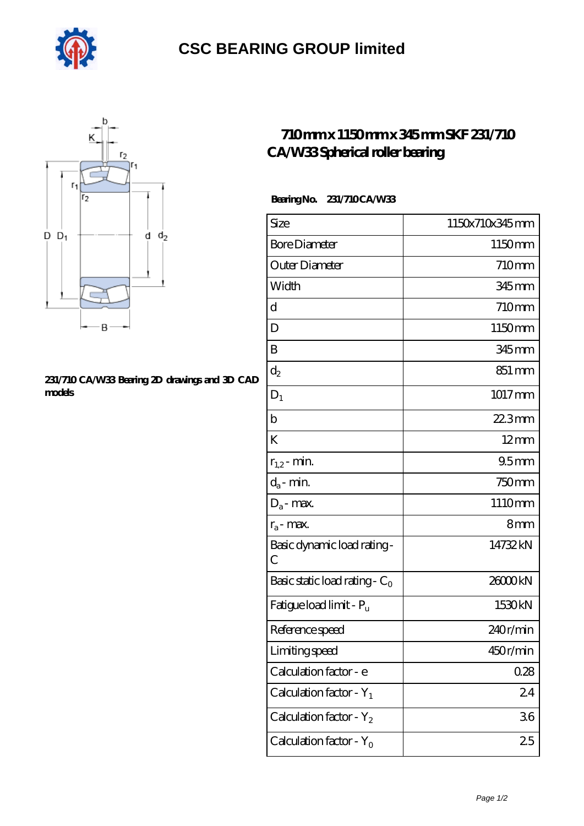

# **[CSC BEARING GROUP limited](https://augustinusga.com)**



### **[231/710 CA/W33 Bearing 2D drawings and 3D CAD](https://augustinusga.com/pic-65110393.html) [models](https://augustinusga.com/pic-65110393.html)**

### **[710 mm x 1150 mm x 345 mm SKF 231/710](https://augustinusga.com/skf-231-710-ca-w33-bearing/) [CA/W33 Spherical roller bearing](https://augustinusga.com/skf-231-710-ca-w33-bearing/)**

#### **Bearing No. 231/710 CA/W33**

| Size                                | 1150x710x345mm   |
|-------------------------------------|------------------|
| <b>Bore Diameter</b>                | 1150mm           |
| Outer Diameter                      | 710mm            |
| Width                               | 345 mm           |
| d                                   | 710mm            |
| D                                   | 1150mm           |
| B                                   | 345 mm           |
| $d_2$                               | 851 mm           |
| $D_1$                               | 1017mm           |
| $\mathbf b$                         | $223$ mm         |
| K                                   | $12 \text{mm}$   |
| $r_{1,2}$ - min.                    | 95 <sub>mm</sub> |
| $d_a$ - min.                        | 750mm            |
| $D_a$ - max.                        | 1110mm           |
| $r_a$ - max.                        | 8mm              |
| Basic dynamic load rating-<br>С     | 14732kN          |
| Basic static load rating - $C_0$    | 26000kN          |
| Fatigue load limit - P <sub>u</sub> | 1530kN           |
| Reference speed                     | 240r/min         |
| Limiting speed                      | 450r/min         |
| Calculation factor - e              | 028              |
| Calculation factor - $Y_1$          | 24               |
| Calculation factor - $Y_2$          | 36               |
| Calculation factor - $Y_0$          | 25               |